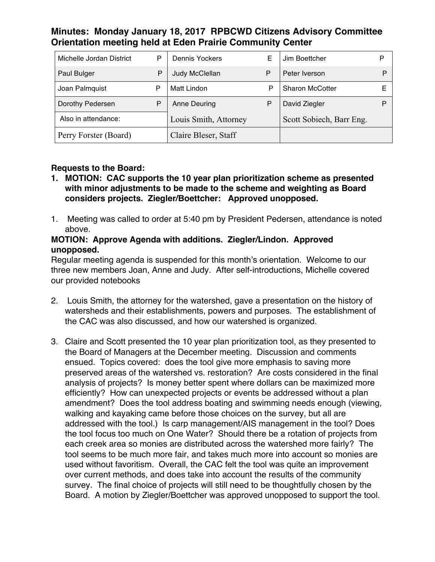# **Minutes: Monday January 18, 2017 RPBCWD Citizens Advisory Committee Orientation meeting held at Eden Prairie Community Center**

| Michelle Jordan District | P | Dennis Yockers        | Е | Jim Boettcher            | P |
|--------------------------|---|-----------------------|---|--------------------------|---|
| Paul Bulger              | P | Judy McClellan        | P | Peter Iverson            | P |
| Joan Palmquist           | P | Matt Lindon           | P | <b>Sharon McCotter</b>   |   |
| Dorothy Pedersen         | Ρ | Anne Deuring          | P | David Ziegler            |   |
| Also in attendance:      |   | Louis Smith, Attorney |   | Scott Sobiech, Barr Eng. |   |
| Perry Forster (Board)    |   | Claire Bleser, Staff  |   |                          |   |

# **Requests to the Board:**

- **1. MOTION: CAC supports the 10 year plan prioritization scheme as presented with minor adjustments to be made to the scheme and weighting as Board considers projects. Ziegler/Boettcher: Approved unopposed.**
- 1. Meeting was called to order at 5:40 pm by President Pedersen, attendance is noted above.

#### **MOTION: Approve Agenda with additions. Ziegler/Lindon. Approved unopposed.**

Regular meeting agenda is suspended for this month's orientation. Welcome to our three new members Joan, Anne and Judy. After self-introductions, Michelle covered our provided notebooks

- 2. Louis Smith, the attorney for the watershed, gave a presentation on the history of watersheds and their establishments, powers and purposes. The establishment of the CAC was also discussed, and how our watershed is organized.
- 3. Claire and Scott presented the 10 year plan prioritization tool, as they presented to the Board of Managers at the December meeting. Discussion and comments ensued. Topics covered: does the tool give more emphasis to saving more preserved areas of the watershed vs. restoration? Are costs considered in the final analysis of projects? Is money better spent where dollars can be maximized more efficiently? How can unexpected projects or events be addressed without a plan amendment? Does the tool address boating and swimming needs enough (viewing, walking and kayaking came before those choices on the survey, but all are addressed with the tool.) Is carp management/AIS management in the tool? Does the tool focus too much on One Water? Should there be a rotation of projects from each creek area so monies are distributed across the watershed more fairly? The tool seems to be much more fair, and takes much more into account so monies are used without favoritism. Overall, the CAC felt the tool was quite an improvement over current methods, and does take into account the results of the community survey. The final choice of projects will still need to be thoughtfully chosen by the Board. A motion by Ziegler/Boettcher was approved unopposed to support the tool.